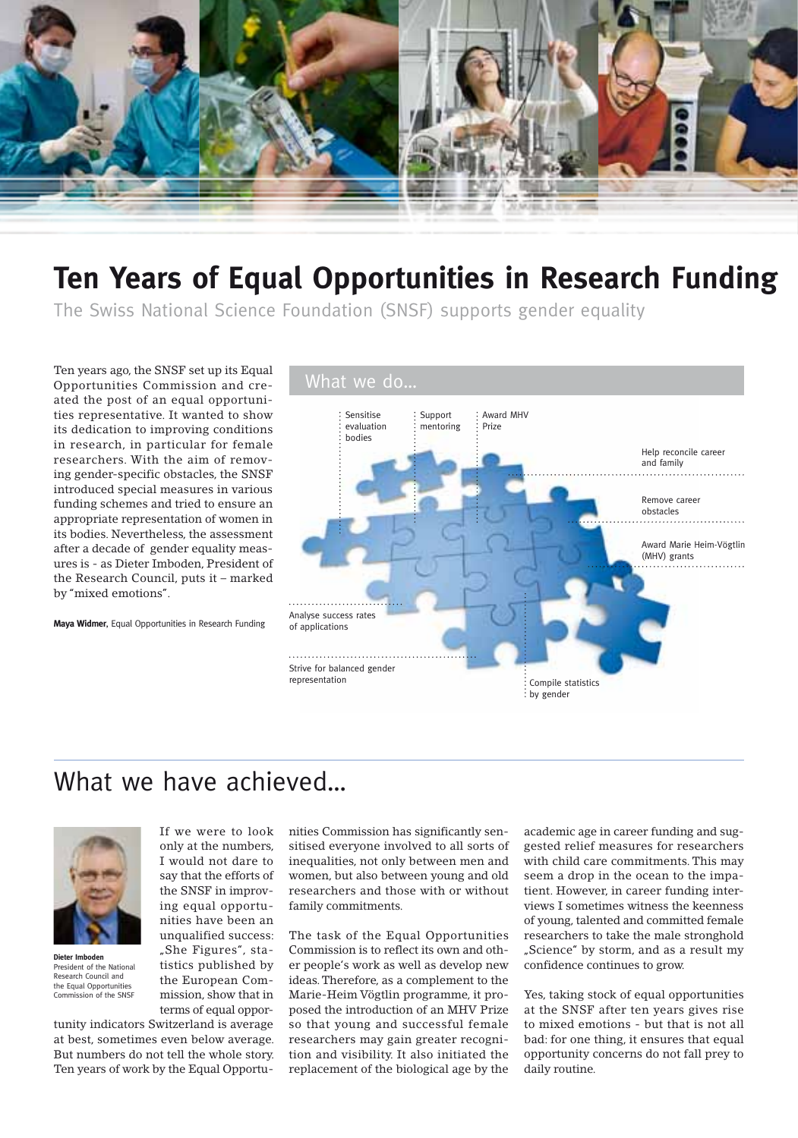

## **Ten Years of Equal Opportunities in Research Funding**

The Swiss National Science Foundation (SNSF) supports gender equality

Ten years ago, the SNSF set up its Equal<br>Opportunities Commission and cre-<br>What we do... Opportunities Commission and created the post of an equal opportunities representative. It wanted to show its dedication to improving conditions in research, in particular for female researchers. With the aim of removing gender-specific obstacles, the SNSF introduced special measures in various funding schemes and tried to ensure an appropriate representation of women in its bodies. Nevertheless, the assessment after a decade of gender equality measures is - as Dieter Imboden, President of the Research Council, puts it – marked by "mixed emotions".

**Maya Widmer**, Equal Opportunities in Research Funding



## What we have achieved...



**Dieter Imboden** President of the National Research Council and the Equal Opportunities Commission of the SNSF

I would not dare to say that the efforts of the SNSF in improving equal opportunities have been an unqualified success: "She Figures", statistics published by the European Commission, show that in terms of equal oppor-

If we were to look only at the numbers,

tunity indicators Switzerland is average at best, sometimes even below average. But numbers do not tell the whole story. Ten years of work by the Equal Opportunities Commission has significantly sensitised everyone involved to all sorts of inequalities, not only between men and women, but also between young and old researchers and those with or without family commitments.

The task of the Equal Opportunities Commission is to reflect its own and other people's work as well as develop new ideas. Therefore, as a complement to the Marie-Heim Vögtlin programme, it proposed the introduction of an MHV Prize so that young and successful female researchers may gain greater recognition and visibility. It also initiated the replacement of the biological age by the academic age in career funding and suggested relief measures for researchers with child care commitments. This may seem a drop in the ocean to the impatient. However, in career funding interviews I sometimes witness the keenness of young, talented and committed female researchers to take the male stronghold "Science" by storm, and as a result my confidence continues to grow.

Yes, taking stock of equal opportunities at the SNSF after ten years gives rise to mixed emotions - but that is not all bad: for one thing, it ensures that equal opportunity concerns do not fall prey to daily routine.